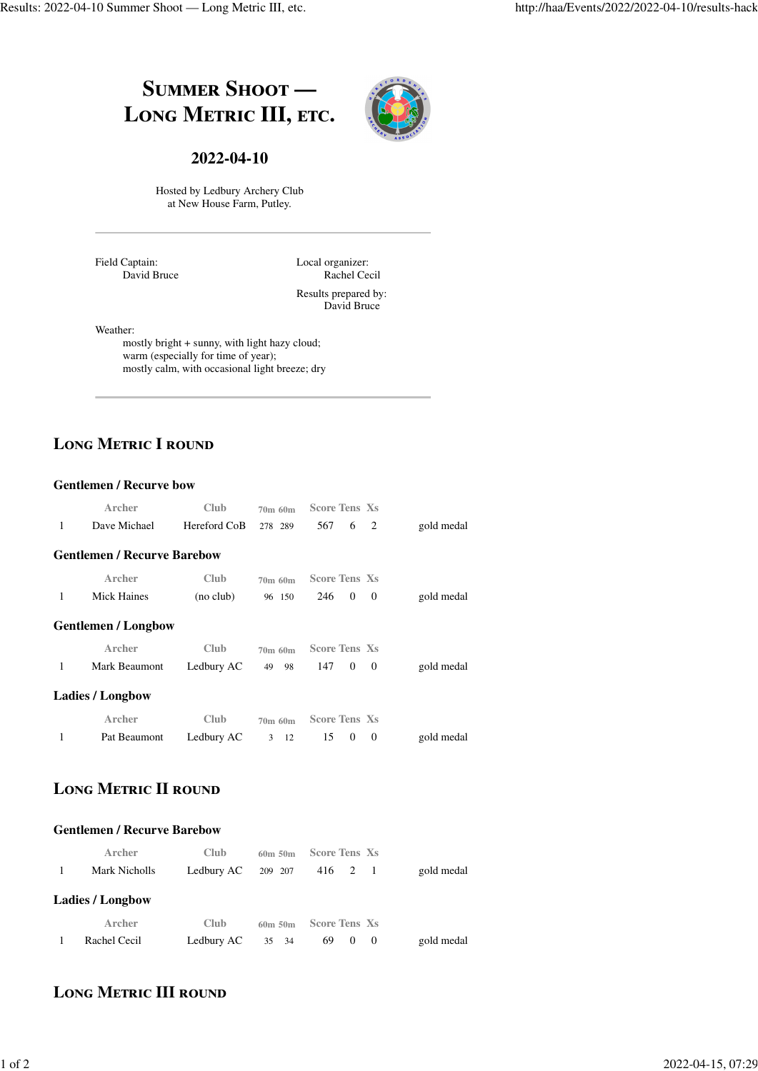# **SUMMER SHOOT — LONG METRIC III, ETC.**



#### **2022-04-10**

Hosted by Ledbury Archery Club at New House Farm, Putley.

Field Captain: David Bruce Local organizer: Rachel Cecil Results prepared by: David Bruce

Weather:

mostly bright + sunny, with light hazy cloud; warm (especially for time of year); mostly calm, with occasional light breeze; dry

# LONG METRIC I ROUND

#### **Gentlemen / Recurve bow**

|   | Archer                             | Club         | 70m 60m  | <b>Score Tens Xs</b>              |            |
|---|------------------------------------|--------------|----------|-----------------------------------|------------|
| 1 | Dave Michael                       | Hereford CoB | 278 289  | 2<br>567<br>6                     | gold medal |
|   | <b>Gentlemen / Recurve Barebow</b> |              |          |                                   |            |
|   | Archer                             | Club         | 70m 60m  | <b>Score Tens Xs</b>              |            |
| 1 | <b>Mick Haines</b>                 | (no club)    | 96 150   | $\theta$<br>246<br>$\theta$       | gold medal |
|   | <b>Gentlemen / Longbow</b>         |              |          |                                   |            |
|   | Archer                             | Club         | 70m 60m  | <b>Score Tens Xs</b>              |            |
| 1 | Mark Beaumont                      | Ledbury AC   | 49<br>98 | 147<br>$\overline{0}$<br>$\theta$ | gold medal |
|   | <b>Ladies</b> / Longbow            |              |          |                                   |            |
|   | Archer                             | Club         | 70m 60m  | <b>Score Tens Xs</b>              |            |
| 1 | Pat Beaumont                       | Ledbury AC   | 3<br>12  | $\theta$<br>15<br>$\theta$        | gold medal |

## LONG METRIC **II** ROUND

#### **Gentlemen / Recurve Barebow**

| Archer<br>Mark Nicholls | <b>Club</b><br>Ledbury AC | $60m$ 50 $m$<br>209 207 | <b>Score Tens Xs</b><br>416 2 1 | gold medal |
|-------------------------|---------------------------|-------------------------|---------------------------------|------------|
| <b>Ladies / Longbow</b> |                           |                         |                                 |            |
| Archer                  | <b>Club</b>               | $60m$ 50 $m$            | <b>Score Tens Xs</b>            |            |
| Rachel Cecil            | Ledbury AC                | 35 34                   | 69 0 0                          | gold medal |

### **LONG METRIC III ROUND**